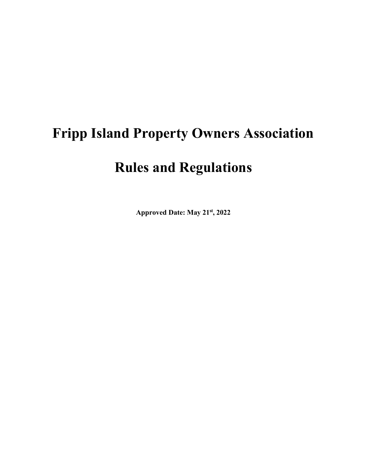# **Fripp Island Property Owners Association**

# **Rules and Regulations**

**Approved Date: May 21st, 2022**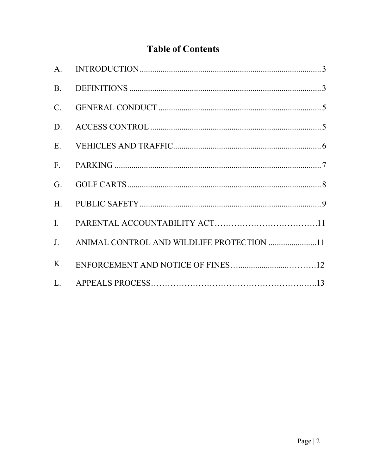# **Table of Contents**

| <b>B.</b> |                                              |  |
|-----------|----------------------------------------------|--|
| $C$ .     |                                              |  |
| D.        |                                              |  |
|           |                                              |  |
| F.        |                                              |  |
| G.        |                                              |  |
| H.        |                                              |  |
| I.        |                                              |  |
|           | J. ANIMAL CONTROL AND WILDLIFE PROTECTION 11 |  |
| K.        |                                              |  |
|           |                                              |  |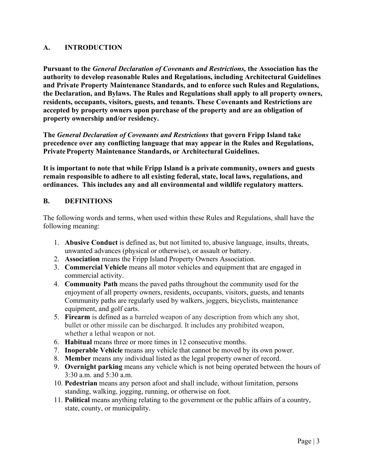#### <span id="page-2-0"></span>**A. INTRODUCTION**

**Pursuant to the** *General Declaration of Covenants and Restrictions,* **the Association has the authority to develop reasonable Rules and Regulations, including Architectural Guidelines and Private Property Maintenance Standards, and to enforce such Rules and Regulations, the Declaration, and Bylaws. The Rules and Regulations shall apply to all property owners, residents, occupants, visitors, guests, and tenants. These Covenants and Restrictions are accepted by property owners upon purchase of the property and are an obligation of property ownership and/or residency.**

**The** *General Declaration of Covenants and Restrictions* **that govern Fripp Island take precedence over any conflicting language that may appear in the Rules and Regulations, Private Property Maintenance Standards, or Architectural Guidelines.**

**It is important to note that while Fripp Island is a private community, owners and guests remain responsible to adhere to all existing federal, state, local laws, regulations, and ordinances. This includes any and all environmental and wildlife regulatory matters.**

# <span id="page-2-1"></span>**B. DEFINITIONS**

The following words and terms, when used within these Rules and Regulations, shall have the following meaning:

- 1. **Abusive Conduct** is defined as, but not limited to, abusive language, insults, threats, unwanted advances (physical or otherwise), or assault or battery.
- 2. **Association** means the Fripp Island Property Owners Association.
- 3. **Commercial Vehicle** means all motor vehicles and equipment that are engaged in commercial activity.
- 4. **Community Path** means the paved paths throughout the community used for the enjoyment of all property owners, residents, occupants, visitors, guests, and tenants Community paths are regularly used by walkers, joggers, bicyclists, maintenance equipment, and golf carts.
- 5. **Firearm** is defined as a barreled weapon of any description from which any shot, bullet or other missile can be discharged. It includes any prohibited weapon, whether a lethal weapon or not.
- 6. **Habitual** means three or more times in 12 consecutive months.
- 7. **Inoperable Vehicle** means any vehicle that cannot be moved by its own power.
- 8. **Member** means any individual listed as the legal property owner of record.
- 9. **Overnight parking** means any vehicle which is not being operated between the hours of 3:30 a.m. and 5:30 a.m.
- 10. **Pedestrian** means any person afoot and shall include, without limitation, persons standing, walking, jogging, running, or otherwise on foot.
- 11. **Political** means anything relating to the government or the public affairs of a country, state, county, or municipality.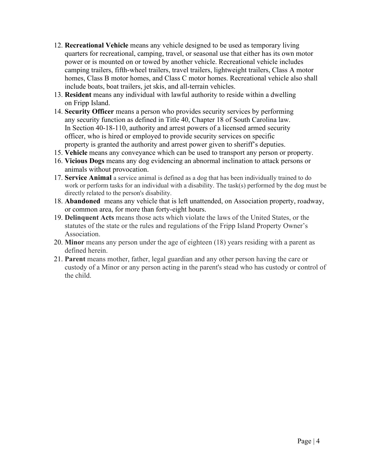- 12. **Recreational Vehicle** means any vehicle designed to be used as temporary living quarters for recreational, camping, travel, or seasonal use that either has its own motor power or is mounted on or towed by another vehicle. Recreational vehicle includes camping trailers, fifth-wheel trailers, travel trailers, lightweight trailers, Class A motor homes, Class B motor homes, and Class C motor homes. Recreational vehicle also shall include boats, boat trailers, jet skis, and all-terrain vehicles.
- 13. **Resident** means any individual with lawful authority to reside within a dwelling on Fripp Island.
- 14. **Security Officer** means a person who provides security services by performing any security function as defined in Title 40, Chapter 18 of South Carolina law. In Section 40-18-110, authority and arrest powers of a licensed armed security officer, who is hired or employed to provide security services on specific property is granted the authority and arrest power given to sheriff's deputies.
- 15. **Vehicle** means any conveyance which can be used to transport any person or property.
- 16. **Vicious Dogs** means any dog evidencing an abnormal inclination to attack persons or animals without provocation.
- 17. **Service Animal** a service animal is defined as a dog that has been individually trained to do work or perform tasks for an individual with a disability. The task(s) performed by the dog must be directly related to the person's disability.
- 18. **Abandoned** means any vehicle that is left unattended, on Association property, roadway, or common area, for more than forty-eight hours.
- 19. **Delinquent Acts** means those acts which violate the laws of the United States, or the statutes of the state or the rules and regulations of the Fripp Island Property Owner's Association.
- 20. **Minor** means any person under the age of eighteen (18) years residing with a parent as defined herein.
- 21. **Parent** means mother, father, legal guardian and any other person having the care or custody of a Minor or any person acting in the parent's stead who has custody or control of the child.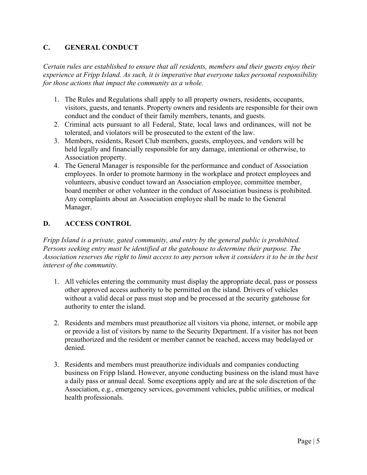### <span id="page-4-0"></span>**C. GENERAL CONDUCT**

*Certain rules are established to ensure that all residents, members and their guests enjoy their experience at Fripp Island. As such, it is imperative that everyone takes personal responsibility for those actions that impact the community as a whole.*

- 1. The Rules and Regulations shall apply to all property owners, residents, occupants, visitors, guests, and tenants. Property owners and residents are responsible for their own conduct and the conduct of their family members, tenants, and guests.
- 2. Criminal acts pursuant to all Federal, State, local laws and ordinances, will not be tolerated, and violators will be prosecuted to the extent of the law.
- 3. Members, residents, Resort Club members, guests, employees, and vendors will be held legally and financially responsible for any damage, intentional or otherwise, to Association property.
- 4. The General Manager is responsible for the performance and conduct of Association employees. In order to promote harmony in the workplace and protect employees and volunteers, abusive conduct toward an Association employee, committee member, board member or other volunteer in the conduct of Association business is prohibited. Any complaints about an Association employee shall be made to the General Manager.

# <span id="page-4-1"></span>**D. ACCESS CONTROL**

*Fripp Island is a private, gated community, and entry by the general public is prohibited. Persons seeking entry must be identified at the gatehouse to determine their purpose. The Association reserves the right to limit access to any person when it considers it to be in the best interest of the community.*

- 1. All vehicles entering the community must display the appropriate decal, pass or possess other approved access authority to be permitted on the island. Drivers of vehicles without a valid decal or pass must stop and be processed at the security gatehouse for authority to enter the island.
- 2. Residents and members must preauthorize all visitors via phone, internet, or mobile app or provide a list of visitors by name to the Security Department. If a visitor has not been preauthorized and the resident or member cannot be reached, access may bedelayed or denied.
- 3. Residents and members must preauthorize individuals and companies conducting business on Fripp Island. However, anyone conducting business on the island must have a daily pass or annual decal. Some exceptions apply and are at the sole discretion of the Association, e.g., emergency services, government vehicles, public utilities, or medical health professionals.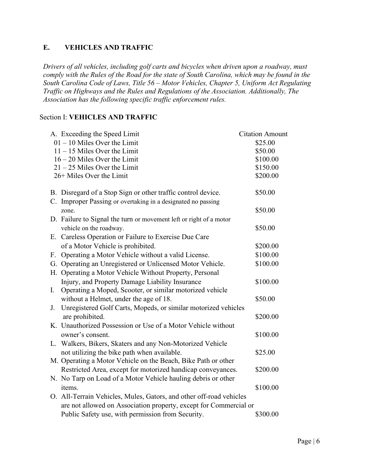### <span id="page-5-0"></span>**E. VEHICLES AND TRAFFIC**

*Drivers of all vehicles, including golf carts and bicycles when driven upon a roadway, must comply with the Rules of the Road for the state of South Carolina, which may be found in the South Carolina Code of Laws, Title 56 – Motor Vehicles, Chapter 5, Uniform Act Regulating Traffic on Highways and the Rules and Regulations of the Association. Additionally, The Association has the following specific traffic enforcement rules.*

#### Section I: **VEHICLES AND TRAFFIC**

| A. Exceeding the Speed Limit                                         | <b>Citation Amount</b> |
|----------------------------------------------------------------------|------------------------|
| $01 - 10$ Miles Over the Limit                                       | \$25.00                |
| $11 - 15$ Miles Over the Limit                                       | \$50.00                |
| $16 - 20$ Miles Over the Limit                                       | \$100.00               |
| $21 - 25$ Miles Over the Limit                                       | \$150.00               |
| 26+ Miles Over the Limit                                             | \$200.00               |
| B. Disregard of a Stop Sign or other traffic control device.         | \$50.00                |
| C. Improper Passing or overtaking in a designated no passing         |                        |
| zone.                                                                | \$50.00                |
| D. Failure to Signal the turn or movement left or right of a motor   |                        |
| vehicle on the roadway.                                              | \$50.00                |
| E. Careless Operation or Failure to Exercise Due Care                |                        |
| of a Motor Vehicle is prohibited.                                    | \$200.00               |
| Operating a Motor Vehicle without a valid License.<br>$F_{\cdot}$    | \$100.00               |
| G. Operating an Unregistered or Unlicensed Motor Vehicle.            | \$100.00               |
| H. Operating a Motor Vehicle Without Property, Personal              |                        |
| Injury, and Property Damage Liability Insurance                      | \$100.00               |
| Operating a Moped, Scooter, or similar motorized vehicle<br>Ι.       |                        |
| without a Helmet, under the age of 18.                               | \$50.00                |
| Unregistered Golf Carts, Mopeds, or similar motorized vehicles<br>J. |                        |
| are prohibited.                                                      | \$200.00               |
| K. Unauthorized Possession or Use of a Motor Vehicle without         |                        |
| owner's consent.                                                     | \$100.00               |
| L. Walkers, Bikers, Skaters and any Non-Motorized Vehicle            |                        |
| not utilizing the bike path when available.                          | \$25.00                |
| M. Operating a Motor Vehicle on the Beach, Bike Path or other        |                        |
| Restricted Area, except for motorized handicap conveyances.          | \$200.00               |
| N. No Tarp on Load of a Motor Vehicle hauling debris or other        |                        |
| items.                                                               | \$100.00               |
| O. All-Terrain Vehicles, Mules, Gators, and other off-road vehicles  |                        |
| are not allowed on Association property, except for Commercial or    |                        |
| Public Safety use, with permission from Security.                    | \$300.00               |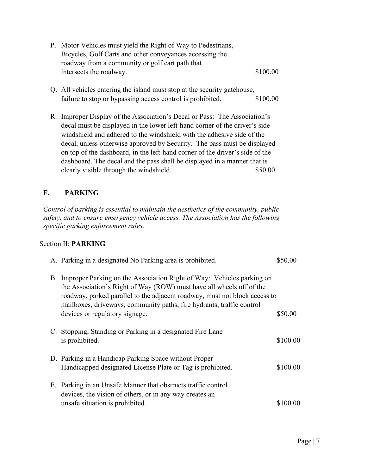<span id="page-6-0"></span>

|    | P. Motor Vehicles must yield the Right of Way to Pedestrians,<br>Bicycles, Golf Carts and other conveyances accessing the<br>roadway from a community or golf cart path that<br>intersects the roadway.<br>\$100.00                                                                                                                                                                                                                                                                                                             |          |
|----|---------------------------------------------------------------------------------------------------------------------------------------------------------------------------------------------------------------------------------------------------------------------------------------------------------------------------------------------------------------------------------------------------------------------------------------------------------------------------------------------------------------------------------|----------|
|    | Q. All vehicles entering the island must stop at the security gatehouse,<br>failure to stop or bypassing access control is prohibited.<br>\$100.00                                                                                                                                                                                                                                                                                                                                                                              |          |
|    | R. Improper Display of the Association's Decal or Pass: The Association's<br>decal must be displayed in the lower left-hand corner of the driver's side<br>windshield and adhered to the windshield with the adhesive side of the<br>decal, unless otherwise approved by Security. The pass must be displayed<br>on top of the dashboard, in the left-hand corner of the driver's side of the<br>dashboard. The decal and the pass shall be displayed in a manner that is<br>clearly visible through the windshield.<br>\$50.00 |          |
| F. | <b>PARKING</b>                                                                                                                                                                                                                                                                                                                                                                                                                                                                                                                  |          |
|    | Control of parking is essential to maintain the aesthetics of the community, public<br>safety, and to ensure emergency vehicle access. The Association has the following<br>specific parking enforcement rules.                                                                                                                                                                                                                                                                                                                 |          |
|    | Section II: PARKING                                                                                                                                                                                                                                                                                                                                                                                                                                                                                                             |          |
|    | A. Parking in a designated No Parking area is prohibited.                                                                                                                                                                                                                                                                                                                                                                                                                                                                       | \$50.00  |
|    | B. Improper Parking on the Association Right of Way: Vehicles parking on<br>the Association's Right of Way (ROW) must have all wheels off of the<br>roadway, parked parallel to the adjacent roadway, must not block access to<br>mailboxes, driveways, community paths, fire hydrants, traffic control<br>devices or regulatory signage.                                                                                                                                                                                       | \$50.00  |
|    | C. Stopping, Standing or Parking in a designated Fire Lane<br>is prohibited.                                                                                                                                                                                                                                                                                                                                                                                                                                                    | \$100.00 |
|    | D. Parking in a Handicap Parking Space without Proper<br>Handicapped designated License Plate or Tag is prohibited.                                                                                                                                                                                                                                                                                                                                                                                                             | \$100.00 |
|    | E. Parking in an Unsafe Manner that obstructs traffic control<br>devices, the vision of others, or in any way creates an<br>unsafe situation is prohibited.                                                                                                                                                                                                                                                                                                                                                                     | \$100.00 |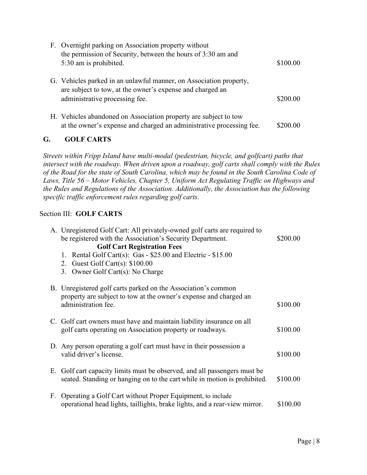<span id="page-7-0"></span>

| F. Overnight parking on Association property without<br>the permission of Security, between the hours of 3:30 am and |          |
|----------------------------------------------------------------------------------------------------------------------|----------|
| 5:30 am is prohibited.                                                                                               | \$100.00 |
| G. Vehicles parked in an unlawful manner, on Association property,                                                   |          |
| are subject to tow, at the owner's expense and charged an<br>administrative processing fee.                          | \$200.00 |
|                                                                                                                      |          |
| H. Vehicles abandoned on Association property are subject to tow                                                     |          |
| at the owner's expense and charged an administrative processing fee.                                                 | \$200.00 |

# **G. GOLF CARTS**

*Streets within Fripp Island have multi-modal (pedestrian, bicycle, and golfcart) paths that intersect with the roadway. When driven upon a roadway, golf carts shall comply with the Rules of the Road for the state of South Carolina, which may be found in the South Carolina Code of Laws, Title 56 – Motor Vehicles, Chapter 5, Uniform Act Regulating Traffic on Highways and the Rules and Regulations of the Association. Additionally, the Association has the following specific traffic enforcement rules regarding golf carts.*

#### Section III: **GOLF CARTS**

|  | A. Unregistered Golf Cart: All privately-owned golf carts are required to                                                                              |          |
|--|--------------------------------------------------------------------------------------------------------------------------------------------------------|----------|
|  | be registered with the Association's Security Department.                                                                                              | \$200.00 |
|  | <b>Golf Cart Registration Fees</b>                                                                                                                     |          |
|  | 1. Rental Golf Cart(s): Gas - \$25.00 and Electric - \$15.00                                                                                           |          |
|  | 2. Guest Golf Cart(s): $$100.00$                                                                                                                       |          |
|  | 3. Owner Golf Cart(s): No Charge                                                                                                                       |          |
|  | B. Unregistered golf carts parked on the Association's common                                                                                          |          |
|  | property are subject to tow at the owner's expense and charged an<br>administration fee.                                                               | \$100.00 |
|  | C. Golf cart owners must have and maintain liability insurance on all<br>golf carts operating on Association property or roadways.                     | \$100.00 |
|  | D. Any person operating a golf cart must have in their possession a<br>valid driver's license.                                                         | \$100.00 |
|  | E. Golf cart capacity limits must be observed, and all passengers must be<br>seated. Standing or hanging on to the cart while in motion is prohibited. | \$100.00 |
|  | F. Operating a Golf Cart without Proper Equipment, to include<br>operational head lights, taillights, brake lights, and a rear-view mirror.            | \$100.00 |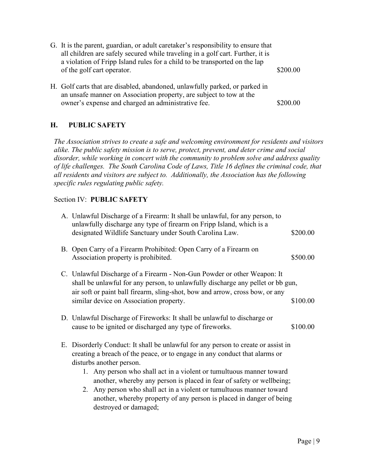<span id="page-8-0"></span>

| G. It is the parent, guardian, or adult caretaker's responsibility to ensure that<br>all children are safely secured while traveling in a golf cart. Further, it is<br>a violation of Fripp Island rules for a child to be transported on the lap<br>of the golf cart operator. | \$200.00 |
|---------------------------------------------------------------------------------------------------------------------------------------------------------------------------------------------------------------------------------------------------------------------------------|----------|
| H. Golf carts that are disabled, abandoned, unlawfully parked, or parked in<br>an unsafe manner on Association property, are subject to tow at the<br>owner's expense and charged an administrative fee.                                                                        | \$200.00 |

# **H. PUBLIC SAFETY**

*The Association strives to create a safe and welcoming environment for residents and visitors alike. The public safety mission is to serve, protect, prevent, and deter crime and social disorder, while working in concert with the community to problem solve and address quality of life challenges. The South Carolina Code of Laws, Title 16 defines the criminal code, that all residents and visitors are subject to. Additionally, the Association has the following specific rules regulating public safety.*

#### Section IV: **PUBLIC SAFETY**

| A. Unlawful Discharge of a Firearm: It shall be unlawful, for any person, to<br>unlawfully discharge any type of firearm on Fripp Island, which is a<br>designated Wildlife Sanctuary under South Carolina Law.                                                                                                                                                                                                      | \$200.00 |
|----------------------------------------------------------------------------------------------------------------------------------------------------------------------------------------------------------------------------------------------------------------------------------------------------------------------------------------------------------------------------------------------------------------------|----------|
| B. Open Carry of a Firearm Prohibited: Open Carry of a Firearm on<br>Association property is prohibited.                                                                                                                                                                                                                                                                                                             | \$500.00 |
| C. Unlawful Discharge of a Firearm - Non-Gun Powder or other Weapon: It<br>shall be unlawful for any person, to unlawfully discharge any pellet or bb gun,<br>air soft or paint ball firearm, sling-shot, bow and arrow, cross bow, or any                                                                                                                                                                           |          |
| similar device on Association property.                                                                                                                                                                                                                                                                                                                                                                              | \$100.00 |
| D. Unlawful Discharge of Fireworks: It shall be unlawful to discharge or<br>cause to be ignited or discharged any type of fireworks.                                                                                                                                                                                                                                                                                 | \$100.00 |
| E. Disorderly Conduct: It shall be unlawful for any person to create or assist in<br>creating a breach of the peace, or to engage in any conduct that alarms or<br>disturbs another person.<br>1. Any person who shall act in a violent or tumultuous manner toward<br>another, whereby any person is placed in fear of safety or wellbeing;<br>2. Any person who shall act in a violent or tumultuous manner toward |          |
| another, whereby property of any person is placed in danger of being<br>destroyed or damaged;                                                                                                                                                                                                                                                                                                                        |          |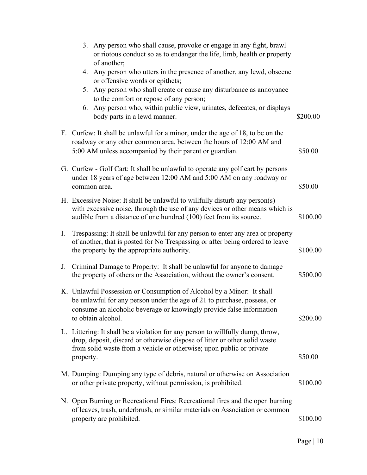|    | 3. Any person who shall cause, provoke or engage in any fight, brawl<br>or riotous conduct so as to endanger the life, limb, health or property<br>of another;                                                                                    |          |
|----|---------------------------------------------------------------------------------------------------------------------------------------------------------------------------------------------------------------------------------------------------|----------|
|    | 4. Any person who utters in the presence of another, any lewd, obscene<br>or offensive words or epithets;                                                                                                                                         |          |
|    | 5. Any person who shall create or cause any disturbance as annoyance<br>to the comfort or repose of any person;                                                                                                                                   |          |
|    | 6. Any person who, within public view, urinates, defecates, or displays<br>body parts in a lewd manner.                                                                                                                                           | \$200.00 |
|    | F. Curfew: It shall be unlawful for a minor, under the age of 18, to be on the<br>roadway or any other common area, between the hours of 12:00 AM and<br>5:00 AM unless accompanied by their parent or guardian.                                  | \$50.00  |
|    | G. Curfew - Golf Cart: It shall be unlawful to operate any golf cart by persons<br>under 18 years of age between 12:00 AM and 5:00 AM on any roadway or<br>common area.                                                                           | \$50.00  |
|    | H. Excessive Noise: It shall be unlawful to willfully disturb any person(s)<br>with excessive noise, through the use of any devices or other means which is<br>audible from a distance of one hundred (100) feet from its source.                 | \$100.00 |
| I. | Trespassing: It shall be unlawful for any person to enter any area or property<br>of another, that is posted for No Trespassing or after being ordered to leave<br>the property by the appropriate authority.                                     | \$100.00 |
| J. | Criminal Damage to Property: It shall be unlawful for anyone to damage<br>the property of others or the Association, without the owner's consent.                                                                                                 | \$500.00 |
|    | K. Unlawful Possession or Consumption of Alcohol by a Minor: It shall<br>be unlawful for any person under the age of 21 to purchase, possess, or<br>consume an alcoholic beverage or knowingly provide false information<br>to obtain alcohol.    | \$200.00 |
|    | L. Littering: It shall be a violation for any person to willfully dump, throw,<br>drop, deposit, discard or otherwise dispose of litter or other solid waste<br>from solid waste from a vehicle or otherwise; upon public or private<br>property. | \$50.00  |
|    | M. Dumping: Dumping any type of debris, natural or otherwise on Association<br>or other private property, without permission, is prohibited.                                                                                                      | \$100.00 |
|    | N. Open Burning or Recreational Fires: Recreational fires and the open burning<br>of leaves, trash, underbrush, or similar materials on Association or common<br>property are prohibited.                                                         | \$100.00 |
|    |                                                                                                                                                                                                                                                   |          |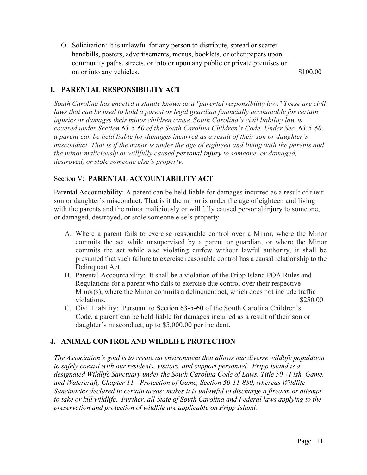<span id="page-10-0"></span>O. Solicitation: It is unlawful for any person to distribute, spread or scatter handbills, posters, advertisements, menus, booklets, or other papers upon community paths, streets, or into or upon any public or private premises or on or into any vehicles.  $$100.00$ 

#### **I. PARENTAL RESPONSIBILITY ACT**

*South Carolina has enacted a statute known as a "parental responsibility law." These are civil* laws that can be used to hold a parent or legal guardian financially accountable for certain *injuries or damages their minor children cause. South Carolina's civil liability law is covered under Section 63-5-60 of the South Carolina Children's Code. Under Sec. 63-5-60, a parent can be held liable for damages incurred as a result of their son or daughter's misconduct. That is if the minor is under the age of eighteen and living with the parents and the minor maliciously or willfully caused personal injury to someone, or damaged, destroyed, or stole someone else's property.*

#### Section V: **PARENTAL ACCOUNTABILITY ACT**

Parental Accountability: A parent can be held liable for damages incurred as a result of their son or daughter's misconduct. That is if the minor is under the age of eighteen and living with the parents and the minor maliciously or willfully caused personal injury to someone, or damaged, destroyed, or stole someone else's property.

- A. Where a parent fails to exercise reasonable control over a Minor, where the Minor commits the act while unsupervised by a parent or guardian, or where the Minor commits the act while also violating curfew without lawful authority, it shall be presumed that such failure to exercise reasonable control has a causal relationship to the Delinquent Act.
- B. Parental Accountability: It shall be a violation of the Fripp Island POA Rules and Regulations for a parent who fails to exercise due control over their respective Minor(s), where the Minor commits a delinquent act, which does not include traffic violations.  $$250.00$
- C. Civil Liability: Pursuant to Section 63-5-60 of the South Carolina Children's Code, a parent can be held liable for damages incurred as a result of their son or daughter's misconduct, up to \$5,000.00 per incident.

#### **J. ANIMAL CONTROL AND WILDLIFE PROTECTION**

*The Association's goal is to create an environment that allows our diverse wildlife population to safely coexist with our residents, visitors, and support personnel. Fripp Island is a designated Wildlife Sanctuary under the South Carolina Code of Laws, Title 50 - Fish, Game, and Watercraft, Chapter 11 - Protection of Game, Section 50-11-880, whereas Wildlife Sanctuaries declared in certain areas; makes it is unlawful to discharge a firearm or attempt to take or kill wildlife. Further, all State of South Carolina and Federal laws applying to the preservation and protection of wildlife are applicable on Fripp Island.*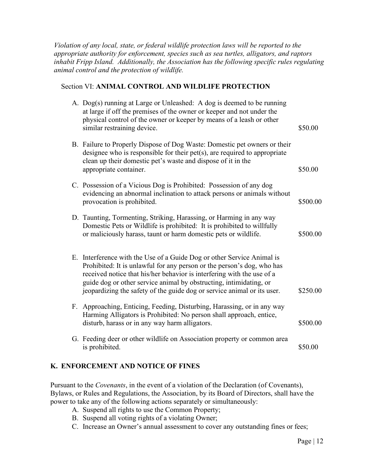<span id="page-11-0"></span>*Violation of any local, state, or federal wildlife protection laws will be reported to the appropriate authority for enforcement, species such as sea turtles, alligators, and raptors inhabit Fripp Island. Additionally, the Association has the following specific rules regulating animal control and the protection of wildlife.*

#### Section VI: **ANIMAL CONTROL AND WILDLIFE PROTECTION**

| A. Dog(s) running at Large or Unleashed: A dog is deemed to be running<br>at large if off the premises of the owner or keeper and not under the<br>physical control of the owner or keeper by means of a leash or other<br>similar restraining device.                                                                                                                      | \$50.00  |
|-----------------------------------------------------------------------------------------------------------------------------------------------------------------------------------------------------------------------------------------------------------------------------------------------------------------------------------------------------------------------------|----------|
| B. Failure to Properly Dispose of Dog Waste: Domestic pet owners or their<br>designee who is responsible for their $pet(s)$ , are required to appropriate<br>clean up their domestic pet's waste and dispose of it in the<br>appropriate container.                                                                                                                         | \$50.00  |
| C. Possession of a Vicious Dog is Prohibited: Possession of any dog<br>evidencing an abnormal inclination to attack persons or animals without<br>provocation is prohibited.                                                                                                                                                                                                | \$500.00 |
| D. Taunting, Tormenting, Striking, Harassing, or Harming in any way<br>Domestic Pets or Wildlife is prohibited: It is prohibited to willfully<br>or maliciously harass, taunt or harm domestic pets or wildlife.                                                                                                                                                            | \$500.00 |
| E. Interference with the Use of a Guide Dog or other Service Animal is<br>Prohibited: It is unlawful for any person or the person's dog, who has<br>received notice that his/her behavior is interfering with the use of a<br>guide dog or other service animal by obstructing, intimidating, or<br>jeopardizing the safety of the guide dog or service animal or its user. | \$250.00 |
| F. Approaching, Enticing, Feeding, Disturbing, Harassing, or in any way<br>Harming Alligators is Prohibited: No person shall approach, entice,<br>disturb, harass or in any way harm alligators.                                                                                                                                                                            | \$500.00 |
| G. Feeding deer or other wildlife on Association property or common area<br>is prohibited.                                                                                                                                                                                                                                                                                  | \$50.00  |
|                                                                                                                                                                                                                                                                                                                                                                             |          |

#### **K. ENFORCEMENT AND NOTICE OF FINES**

Pursuant to the *Covenants*, in the event of a violation of the Declaration (of Covenants), Bylaws, or Rules and Regulations, the Association, by its Board of Directors, shall have the power to take any of the following actions separately or simultaneously:

- A. Suspend all rights to use the Common Property;
- B. Suspend all voting rights of a violating Owner;
- C. Increase an Owner's annual assessment to cover any outstanding fines or fees;